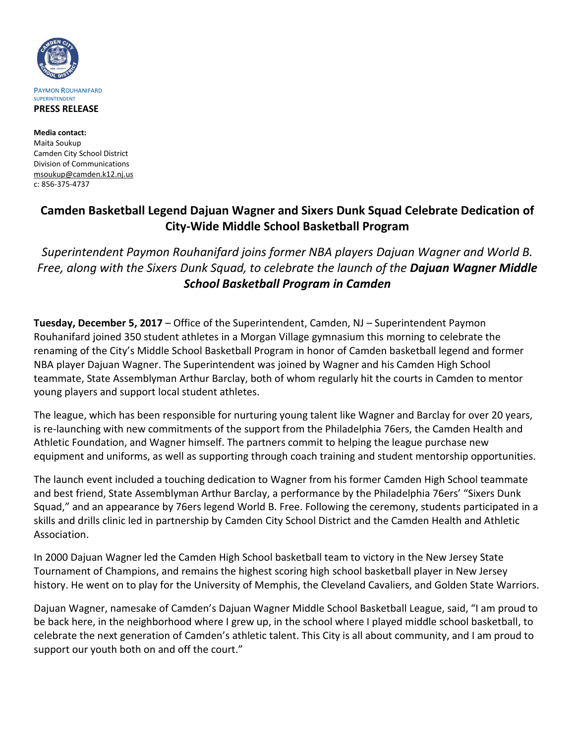

**Media contact:** Maita Soukup Camden City School District Division of Communications [msoukup@camden.k12.nj.us](mailto:msoukup@camden.k12.nj.us) c: 856-375-4737

## **Camden Basketball Legend Dajuan Wagner and Sixers Dunk Squad Celebrate Dedication of City-Wide Middle School Basketball Program**

*Superintendent Paymon Rouhanifard joins former NBA players Dajuan Wagner and World B. Free, along with the Sixers Dunk Squad, to celebrate the launch of the Dajuan Wagner Middle School Basketball Program in Camden*

**Tuesday, December 5, 2017** – Office of the Superintendent, Camden, NJ – Superintendent Paymon Rouhanifard joined 350 student athletes in a Morgan Village gymnasium this morning to celebrate the renaming of the City's Middle School Basketball Program in honor of Camden basketball legend and former NBA player Dajuan Wagner. The Superintendent was joined by Wagner and his Camden High School teammate, State Assemblyman Arthur Barclay, both of whom regularly hit the courts in Camden to mentor young players and support local student athletes.

The league, which has been responsible for nurturing young talent like Wagner and Barclay for over 20 years, is re-launching with new commitments of the support from the Philadelphia 76ers, the Camden Health and Athletic Foundation, and Wagner himself. The partners commit to helping the league purchase new equipment and uniforms, as well as supporting through coach training and student mentorship opportunities.

The launch event included a touching dedication to Wagner from his former Camden High School teammate and best friend, State Assemblyman Arthur Barclay, a performance by the Philadelphia 76ers' "Sixers Dunk Squad," and an appearance by 76ers legend World B. Free. Following the ceremony, students participated in a skills and drills clinic led in partnership by Camden City School District and the Camden Health and Athletic Association.

In 2000 Dajuan Wagner led the Camden High School basketball team to victory in the New Jersey State Tournament of Champions, and remains the highest scoring high school basketball player in New Jersey history. He went on to play for the University of Memphis, the Cleveland Cavaliers, and Golden State Warriors.

Dajuan Wagner, namesake of Camden's Dajuan Wagner Middle School Basketball League, said, "I am proud to be back here, in the neighborhood where I grew up, in the school where I played middle school basketball, to celebrate the next generation of Camden's athletic talent. This City is all about community, and I am proud to support our youth both on and off the court."